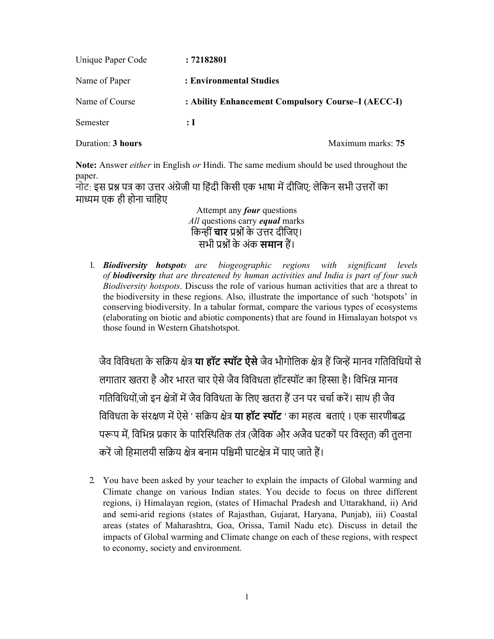| Unique Paper Code | : 72182801                                         |
|-------------------|----------------------------------------------------|
| Name of Paper     | : Environmental Studies                            |
| Name of Course    | : Ability Enhancement Compulsory Course–I (AECC-I) |
| Semester          | : I                                                |
| Duration: 3 hours | Maximum marks: 75                                  |

Note: Answer *either* in English or Hindi. The same medium should be used throughout the paper.

नोट: इस प्रश्न पत्र का उत्तर अंग्रेजी या हिंदी किसी एक भाषा में दीजिए: लेकिन सभी उत्तरों का माध्यम एक ही होना चाहिए

> Attempt any *four* questions All questions carry *equal* marks किन्हीं **चार** प्रश्नों के उत्तर दीजिए। सभी प्रश्नों के अंक **समान** हैं।

1. **Biodiversity hotspots** are biogeographic regions with significant levels of biodiversity that are threatened by human activities and India is part of four such Biodiversity hotspots. Discuss the role of various human activities that are a threat to the biodiversity in these regions. Also, illustrate the importance of such 'hotspots' in conserving biodiversity. In a tabular format, compare the various types of ecosystems (elaborating on biotic and abiotic components) that are found in Himalayan hotspot vs those found in Western Ghatshotspot.

जैव विविधता के सक्रिय क्षेत्र **या हॉट स्पॉट ऐसे** जैव भौगोलिक क्षेत्र हैं जिन्हें मानव गतिविधियों से लगातार खतरा है और भारत चार ऐसे जैव विविधता हॉटस्पॉट का हिस्सा है। विभिन्न मानव गतिविधियों,जो इन क्षेत्रों में जैव विविधता के लिए खतरा हैं उन पर चर्चा करें। साथ ही जैव विविधता के संरक्षण में ऐसे ' सक्रिय क्षेत्र **या हॉट स्पॉट** ' का महत्व बताएं । एक सारणीबद्ध परूप में, विभिन्न प्रकार के पारिस्थितिक तंत्र (जैविक और अजैव घटकों पर विस्तृत) की तुलना करें जो हिमालयी सक्रिय क्षेत्र बनाम पश्चिमी घाटक्षेत्र में पाए जाते हैं।

2. You have been asked by your teacher to explain the impacts of Global warming and Climate change on various Indian states. You decide to focus on three different regions, i) Himalayan region, (states of Himachal Pradesh and Uttarakhand, ii) Arid and semi-arid regions (states of Rajasthan, Gujarat, Haryana, Punjab), iii) Coastal areas (states of Maharashtra, Goa, Orissa, Tamil Nadu etc). Discuss in detail the impacts of Global warming and Climate change on each of these regions, with respect to economy, society and environment.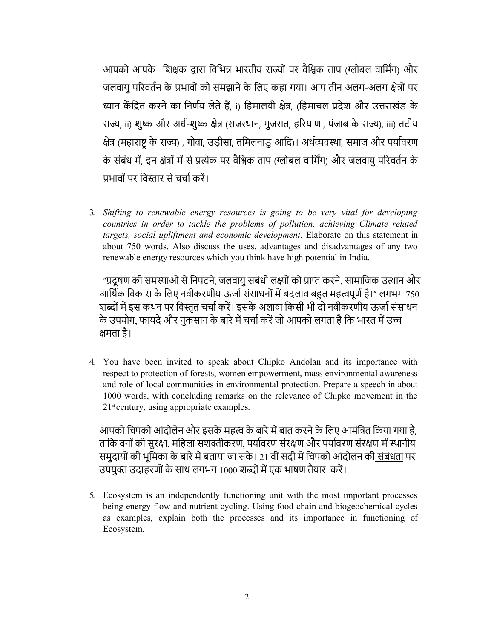आपको आपके शिक्षक द्वारा विभिन्न भारतीय राज्यों पर वैश्विक ताप (ग्लोबल वार्मिंग) और जलवायु परिवर्तन के प्रभावों को समझाने के लिए कहा गया। आप तीन अलग-अलग क्षेत्रों पर ध्यान केंद्रित करने का निर्णय लेते हैं, i) हिमालयी क्षेत्र, (हिमाचल प्रदेश और उत्तराखंड के राज्य, ii) शुष्क और अर्ध-शुष्क क्षेत्र (राजस्थान, गुजरात, हरियाणा, पंजाब के राज्य), iii) तटीय क्षेत्र (महाराष्ट्र के राज्य) , गोवा, उड़ीसा, तमिलनाडु आदि)। अर्थव्यवस्था, समाज और पर्यावरण के संबंध में, इन क्षेत्रों में से प्रत्येक पर वैश्विक ताप (ग्लोबल वार्मिंग) और जलवायु परिवर्तन के प्रभावों पर विस्तार से चर्चा करें।

3. Shifting to renewable energy resources is going to be very vital for developing countries in order to tackle the problems of pollution, achieving Climate related targets, social upliftment and economic development. Elaborate on this statement in about 750 words. Also discuss the uses, advantages and disadvantages of any two renewable energy resources which you think have high potential in India.

"प्रदूषण की समस्याओं से निपटने, जलवायु संबंधी लक्ष्यों को प्राप्त करने, सामाजिक उत्थान और आर्थिक विकास के लिए नवीकरणीय ऊर्जा संसाधनों में बदलाव बहुत महत्वपूर्ण है।" लगभग 750 शब्दों में इस कथन पर विस्तृत चर्चा करें। इसके अलावा किसी भी दो नवीकरणीय ऊर्जा संसाधन के उपयोग, फायदे और नुकसान के बारे में चर्चा करें जो आपको लगता है कि भारत में उच्च क्षमता है।

4. You have been invited to speak about Chipko Andolan and its importance with respect to protection of forests, women empowerment, mass environmental awareness and role of local communities in environmental protection. Prepare a speech in about 1000 words, with concluding remarks on the relevance of Chipko movement in the  $21<sup>st</sup>$  century, using appropriate examples.

आपको चिपको आंदोलेन और इसके महत्व के बारे में बात करने के लिए आमंत्रित किया गया है, ताकि वनों की सुरक्षा, महिला सशक्तीकरण, पर्यावरण संरक्षण और पर्यावरण संरक्षण में स्थानीय समुदायों की भूमिका के बारे में बताया जा सके । 21 वीं सदी में चिपको आंदोलन की संबंधता पर उपयुक्त उदाहरणों के साथ लगभग 1000 शब्दों में एक भाषण तैयार करें।

5. Ecosystem is an independently functioning unit with the most important processes being energy flow and nutrient cycling. Using food chain and biogeochemical cycles as examples, explain both the processes and its importance in functioning of Ecosystem.